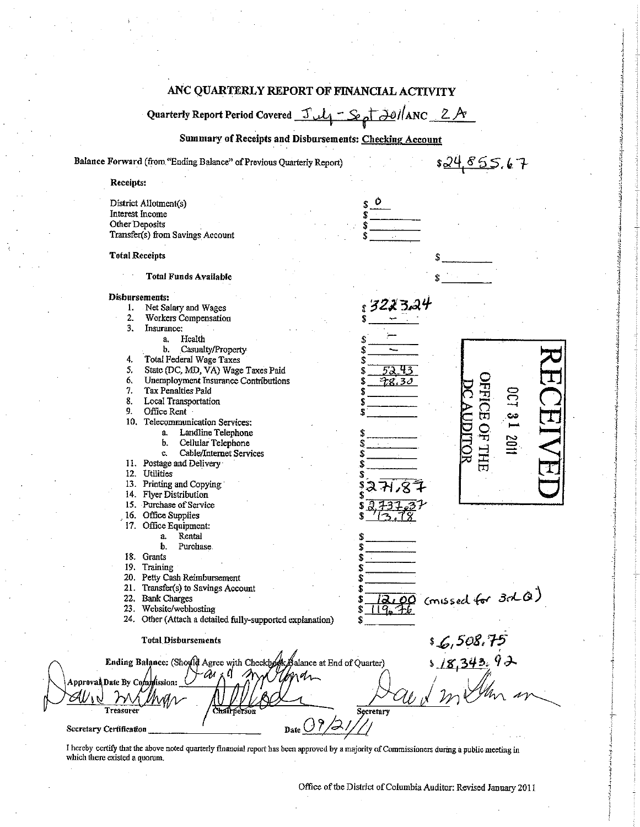## ANC QUARTERLY REPORT OF FINANCIAL ACTIVITY

 $4 -$ Sept 20//ANC 2A Quarterly Report Period Covered Jul

Summary of Receipts and Disbursements: Checking Account

Balance Forward (from "Ending Balance" of Previous Quarterly Report)

Receipts:

 $82485567$ 

|                         | Other Deposits        | District Allotment(s)<br>Interest Income<br>Transfer(s) from Savings Account |
|-------------------------|-----------------------|------------------------------------------------------------------------------|
|                         | <b>Total Receipts</b> |                                                                              |
|                         |                       | <b>Total Funds Available</b>                                                 |
|                         |                       | Disbursements:                                                               |
|                         | 1.                    | 3223.24<br>Net Salary and Wages                                              |
|                         | 2.                    | Workers Compensation                                                         |
|                         | 3.                    | Insurance:                                                                   |
|                         |                       | Health<br>a,<br>\$                                                           |
|                         |                       | Casualty/Property<br>b.<br>S                                                 |
|                         | 4.                    | Total Federal Wage Taxes<br>\$                                               |
|                         | 5.                    | State (DC, MD, VA) Wage Taxes Paid<br>\$                                     |
|                         | 6.                    | <b>Unemployment Insurance Contributions</b><br>\$<br>T8.30                   |
|                         | 7.                    | Tax Penalties Paid<br>\$                                                     |
|                         | 8.                    | <b>DCT</b><br>Local Transportation<br>\$                                     |
|                         | 9.                    | Office Rent<br>Ś.                                                            |
|                         |                       | <b>FFICE OF THE</b><br>دن<br>—ا<br>10. Telecommunication Services:           |
|                         |                       | Landline Telephone<br>a.<br>\$                                               |
|                         |                       | mins<br>Cellular Telephone<br>b.                                             |
|                         |                       | Cable/Internet Services<br>c.<br>Ś                                           |
|                         |                       | 11. Postage and Delivery                                                     |
|                         |                       |                                                                              |
|                         |                       | 12. Utilities                                                                |
|                         |                       | 13. Printing and Copying                                                     |
|                         |                       | 14. Flyer Distribution                                                       |
|                         |                       | 15. Purchase of Service                                                      |
|                         |                       | 16. Office Supplies                                                          |
|                         |                       | 17. Office Equipment:                                                        |
|                         |                       | Rental<br>$\mathbf{a}$                                                       |
|                         |                       | b.<br>Purchase.                                                              |
|                         |                       | 18. Grants                                                                   |
|                         |                       | 19. Training                                                                 |
|                         |                       | 20. Petty Cash Reimbursement                                                 |
|                         |                       | 21. Transfer(s) to Savings Account                                           |
|                         |                       | (missed for 3d Q)<br>22. Bank Charges                                        |
|                         |                       | 23. Website/webhosting<br>Ŝ                                                  |
|                         |                       | 24. Other (Attach a detailed fully-supported explanation)                    |
|                         |                       | s 6,508.75<br>s 18,343,92<br><b>Total Disbursements</b>                      |
|                         |                       | Ending Balance: (Should Agree with Checkbook Balance at End of Quarter)      |
|                         |                       | χÜ<br>ÛM.<br>Approval Date By Commission:                                    |
|                         |                       |                                                                              |
|                         | Treasurer             | Chairnerson<br>Secretary                                                     |
| Secretary Certification |                       | Date $\bigcirc$                                                              |

I hereby certify that the above noted quarterly financial report has been approved by a majority of Commissioners during a public meeting in which there existed a quorum.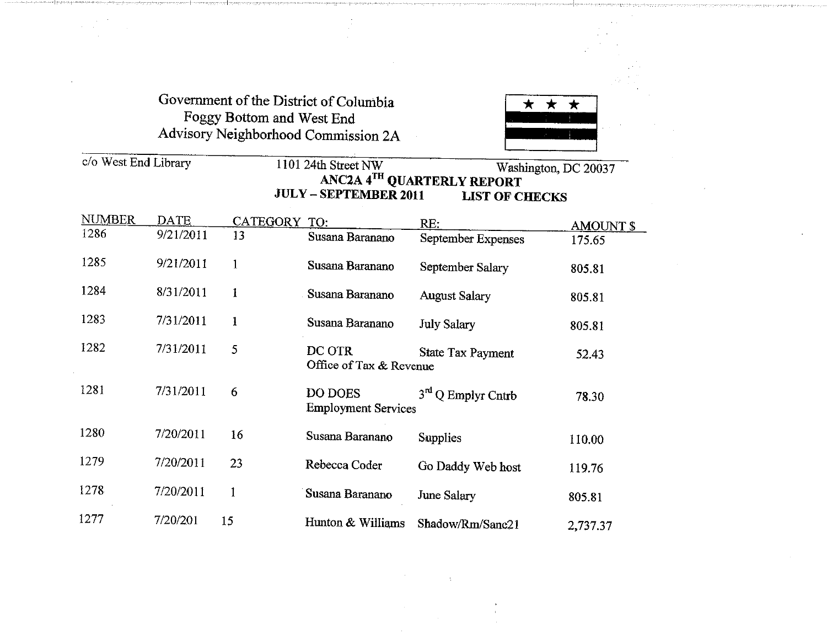# Government of the District of Columbia Foggy Bottom and West End Advisory Neighborhood Commission 2A



#### *clo* West End Library 1101 24th Street NW Washington, DC 20037 ANC2A 4TH QUARTERLY REPORT JULY - SEPTEMBER 2011 LIST OF CHECKS

| <u>NUMBER</u> | DATE      | CATEGORY     | TO:                                   | RE:                      | <b>AMOUNT \$</b> |
|---------------|-----------|--------------|---------------------------------------|--------------------------|------------------|
| 1286          | 9/21/2011 | 13           | Susana Baranano                       | September Expenses       | 175.65           |
| 1285          | 9/21/2011 | 1            | Susana Baranano                       | September Salary         | 805.81           |
| 1284          | 8/31/2011 | 1            | Susana Baranano                       | <b>August Salary</b>     | 805.81           |
| 1283          | 7/31/2011 | $\mathbf{1}$ | Susana Baranano                       | <b>July Salary</b>       | 805.81           |
| 1282          | 7/31/2011 | 5            | DC OTR<br>Office of Tax & Revenue     | <b>State Tax Payment</b> | 52.43            |
| 1281          | 7/31/2011 | 6            | DO DOES<br><b>Employment Services</b> | $3rd$ Q Emplyr Cntrb     | 78.30            |
| 1280          | 7/20/2011 | 16           | Susana Baranano                       | <b>Supplies</b>          | 110.00           |
| 1279          | 7/20/2011 | 23           | Rebecca Coder                         | Go Daddy Web host        | 119.76           |
| 1278          | 7/20/2011 | $\mathbf{1}$ | Susana Baranano                       | June Salary              | 805.81           |
| 1277          | 7/20/201  | 15           | Hunton & Williams                     | Shadow/Rm/Sanc21         | 2,737.37         |